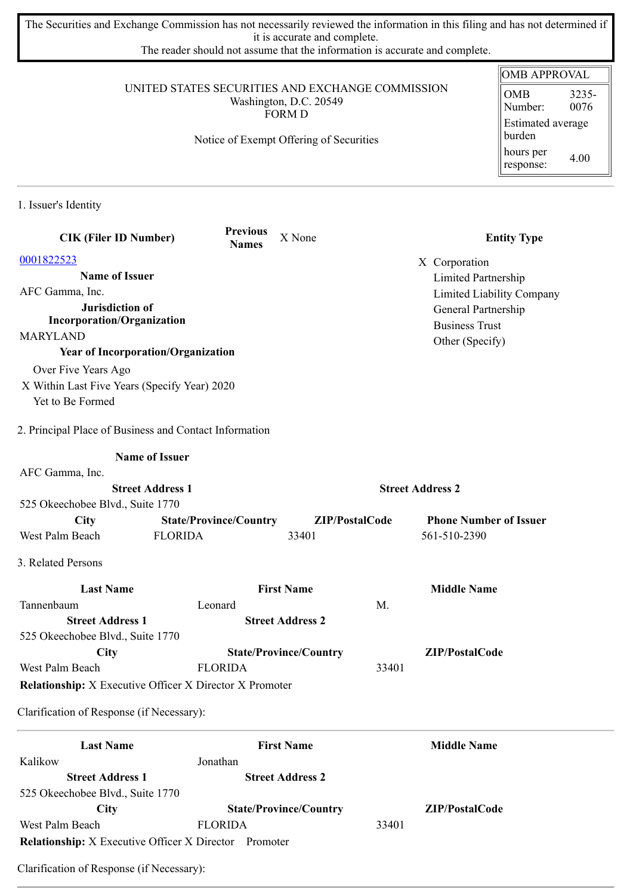The Securities and Exchange Commission has not necessarily reviewed the information in this filing and has not determined if it is accurate and complete.

The reader should not assume that the information is accurate and complete.

#### UNITED STATES SECURITIES AND EXCHANGE COMMISSION Washington, D.C. 20549 FORM D

Notice of Exempt Offering of Securities

| <b>OMB APPROVAL</b>                |               |  |
|------------------------------------|---------------|--|
| OMB<br>Number:                     | 3235-<br>0076 |  |
| <b>Estimated</b> average<br>burden |               |  |
| hours per<br>response:             | 4.00          |  |

1. Issuer's Identity

| <b>CIK (Filer ID Number)</b>                                   | <b>Previous</b><br><b>Names</b> | X None                        | <b>Entity Type</b>            |
|----------------------------------------------------------------|---------------------------------|-------------------------------|-------------------------------|
| 0001822523                                                     |                                 |                               | X Corporation                 |
| <b>Name of Issuer</b>                                          |                                 |                               | Limited Partnership           |
| AFC Gamma, Inc.                                                |                                 |                               | Limited Liability Company     |
| Jurisdiction of                                                |                                 |                               | General Partnership           |
| <b>Incorporation/Organization</b>                              |                                 |                               | <b>Business Trust</b>         |
| <b>MARYLAND</b>                                                |                                 |                               | Other (Specify)               |
| <b>Year of Incorporation/Organization</b>                      |                                 |                               |                               |
| Over Five Years Ago                                            |                                 |                               |                               |
| X Within Last Five Years (Specify Year) 2020                   |                                 |                               |                               |
| Yet to Be Formed                                               |                                 |                               |                               |
| 2. Principal Place of Business and Contact Information         |                                 |                               |                               |
| <b>Name of Issuer</b>                                          |                                 |                               |                               |
| AFC Gamma, Inc.                                                |                                 |                               |                               |
| <b>Street Address 1</b>                                        |                                 |                               | <b>Street Address 2</b>       |
| 525 Okeechobee Blvd., Suite 1770                               |                                 |                               |                               |
| <b>City</b>                                                    | <b>State/Province/Country</b>   | ZIP/PostalCode                | <b>Phone Number of Issuer</b> |
| West Palm Beach                                                | <b>FLORIDA</b>                  | 33401                         | 561-510-2390                  |
| 3. Related Persons                                             |                                 |                               |                               |
| <b>Last Name</b>                                               |                                 | <b>First Name</b>             | <b>Middle Name</b>            |
| Tannenbaum                                                     | Leonard                         | M.                            |                               |
| <b>Street Address 1</b>                                        |                                 | <b>Street Address 2</b>       |                               |
| 525 Okeechobee Blvd., Suite 1770                               |                                 |                               |                               |
| City                                                           |                                 | <b>State/Province/Country</b> | ZIP/PostalCode                |
| West Palm Beach                                                | <b>FLORIDA</b>                  | 33401                         |                               |
| <b>Relationship:</b> X Executive Officer X Director X Promoter |                                 |                               |                               |
| Clarification of Response (if Necessary):                      |                                 |                               |                               |
| <b>Last Name</b>                                               |                                 | <b>First Name</b>             | <b>Middle Name</b>            |
| Kalikow                                                        | Jonathan                        |                               |                               |
| <b>Street Address 1</b>                                        |                                 | <b>Street Address 2</b>       |                               |
| 525 Okeechobee Blvd., Suite 1770                               |                                 |                               |                               |
| <b>City</b>                                                    |                                 | <b>State/Province/Country</b> | ZIP/PostalCode                |
| West Palm Beach                                                | <b>FLORIDA</b>                  | 33401                         |                               |
| <b>Relationship:</b> X Executive Officer X Director Promoter   |                                 |                               |                               |

Clarification of Response (if Necessary):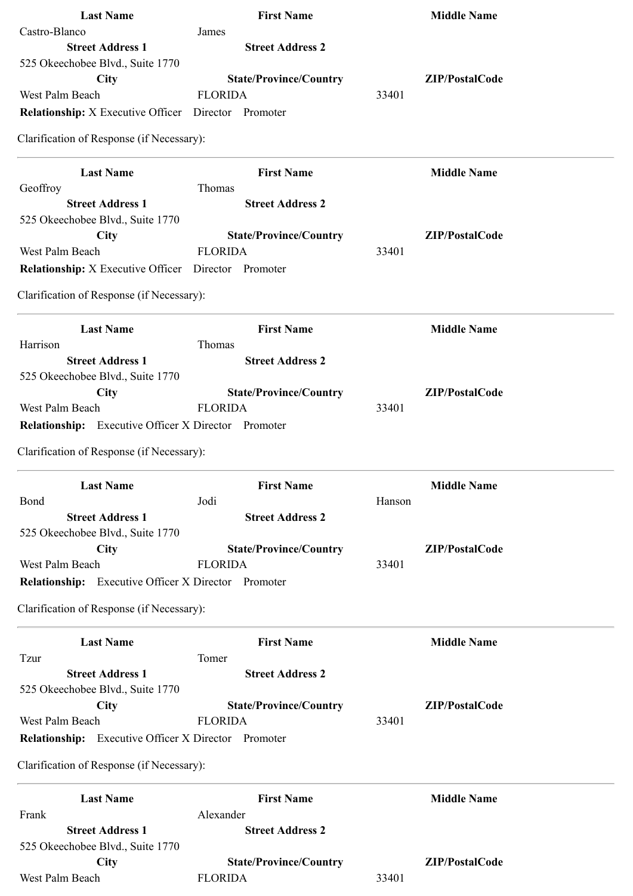| <b>Last Name</b>                                           | <b>First Name</b>             | <b>Middle Name</b> |
|------------------------------------------------------------|-------------------------------|--------------------|
| Castro-Blanco                                              | James                         |                    |
| <b>Street Address 1</b>                                    | <b>Street Address 2</b>       |                    |
| 525 Okeechobee Blvd., Suite 1770                           |                               |                    |
| <b>City</b>                                                | <b>State/Province/Country</b> | ZIP/PostalCode     |
| West Palm Beach                                            | <b>FLORIDA</b>                | 33401              |
| <b>Relationship:</b> X Executive Officer Director Promoter |                               |                    |
| Clarification of Response (if Necessary):                  |                               |                    |
| <b>Last Name</b>                                           | <b>First Name</b>             | <b>Middle Name</b> |
| Geoffroy                                                   | Thomas                        |                    |
| <b>Street Address 1</b>                                    | <b>Street Address 2</b>       |                    |
| 525 Okeechobee Blvd., Suite 1770                           |                               |                    |
| City                                                       | <b>State/Province/Country</b> | ZIP/PostalCode     |
| West Palm Beach                                            | <b>FLORIDA</b>                | 33401              |
| <b>Relationship:</b> X Executive Officer Director Promoter |                               |                    |
| Clarification of Response (if Necessary):                  |                               |                    |
| <b>Last Name</b>                                           | <b>First Name</b>             | <b>Middle Name</b> |
| Harrison                                                   | Thomas                        |                    |
| <b>Street Address 1</b>                                    | <b>Street Address 2</b>       |                    |
| 525 Okeechobee Blvd., Suite 1770                           |                               |                    |
| <b>City</b>                                                | <b>State/Province/Country</b> | ZIP/PostalCode     |
| West Palm Beach                                            | <b>FLORIDA</b>                | 33401              |
| Relationship: Executive Officer X Director Promoter        |                               |                    |
| Clarification of Response (if Necessary):                  |                               |                    |
| <b>Last Name</b>                                           | <b>First Name</b>             | <b>Middle Name</b> |
| Bond                                                       | Jodi                          | Hanson             |
| <b>Street Address 1</b>                                    | <b>Street Address 2</b>       |                    |
| 525 Okeechobee Blvd., Suite 1770                           |                               |                    |
| City                                                       | <b>State/Province/Country</b> | ZIP/PostalCode     |
| West Palm Beach                                            | <b>FLORIDA</b>                | 33401              |
| Relationship: Executive Officer X Director Promoter        |                               |                    |
| Clarification of Response (if Necessary):                  |                               |                    |
| <b>Last Name</b>                                           | <b>First Name</b>             | <b>Middle Name</b> |
| Tzur                                                       | Tomer                         |                    |
| <b>Street Address 1</b>                                    | <b>Street Address 2</b>       |                    |
| 525 Okeechobee Blvd., Suite 1770                           |                               |                    |
| City                                                       | <b>State/Province/Country</b> | ZIP/PostalCode     |
| West Palm Beach                                            | <b>FLORIDA</b>                | 33401              |
| <b>Relationship:</b> Executive Officer X Director Promoter |                               |                    |
| Clarification of Response (if Necessary):                  |                               |                    |
| <b>Last Name</b>                                           | <b>First Name</b>             | <b>Middle Name</b> |
| Frank                                                      | Alexander                     |                    |
| <b>Street Address 1</b>                                    | <b>Street Address 2</b>       |                    |
| 525 Okeechobee Blvd., Suite 1770                           |                               |                    |
| <b>City</b>                                                | <b>State/Province/Country</b> | ZIP/PostalCode     |
| West Palm Beach                                            | <b>FLORIDA</b>                | 33401              |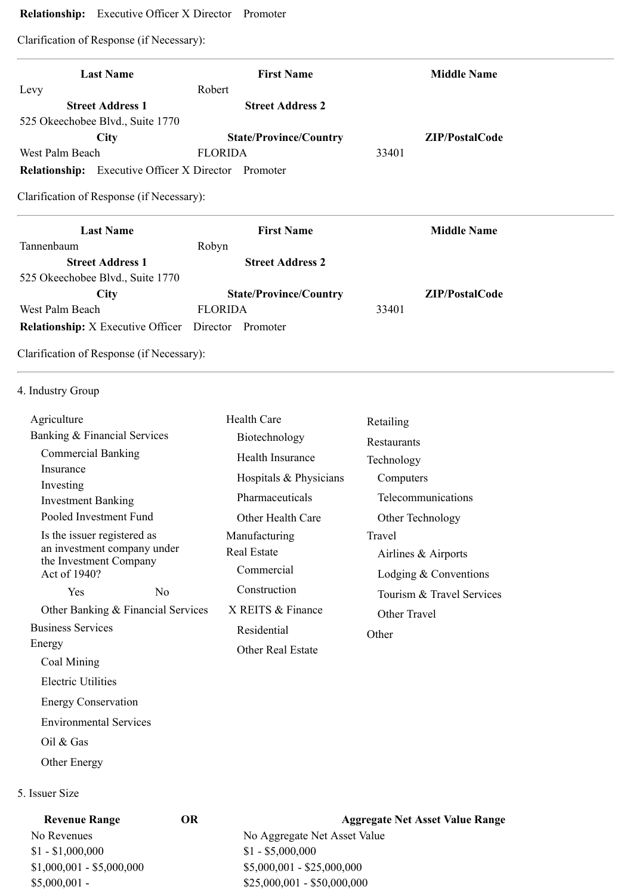# **Relationship:** Executive Officer X Director Promoter

Clarification of Response (if Necessary):

| <b>Last Name</b>                                           | <b>First Name</b>             | <b>Middle Name</b>    |
|------------------------------------------------------------|-------------------------------|-----------------------|
| Levy                                                       | Robert                        |                       |
| <b>Street Address 1</b>                                    | <b>Street Address 2</b>       |                       |
| 525 Okeechobee Blvd., Suite 1770                           |                               |                       |
| <b>City</b>                                                | <b>State/Province/Country</b> | <b>ZIP/PostalCode</b> |
| West Palm Beach                                            | <b>FLORIDA</b>                | 33401                 |
| <b>Relationship:</b> Executive Officer X Director Promoter |                               |                       |
| Clarification of Response (if Necessary):                  |                               |                       |
| <b>Last Name</b>                                           | <b>First Name</b>             | <b>Middle Name</b>    |
| Tannenbaum                                                 | Robyn                         |                       |
| <b>Street Address 1</b>                                    | <b>Street Address 2</b>       |                       |
| 525 Okeechobee Blvd., Suite 1770                           |                               |                       |
| <b>City</b>                                                | <b>State/Province/Country</b> | ZIP/PostalCode        |
| West Palm Beach                                            | <b>FLORIDA</b>                | 33401                 |
| <b>Relationship:</b> X Executive Officer                   | Director Promoter             |                       |
| Clarification of Response (if Necessary):                  |                               |                       |

## 4. Industry Group

| Agriculture                                           |                                    | <b>Health Care</b>       | Retailing                 |
|-------------------------------------------------------|------------------------------------|--------------------------|---------------------------|
| Banking & Financial Services                          |                                    | Biotechnology            | Restaurants               |
| <b>Commercial Banking</b>                             |                                    | Health Insurance         | Technology                |
| Insurance<br>Investing                                |                                    | Hospitals & Physicians   | Computers                 |
| <b>Investment Banking</b>                             |                                    | Pharmaceuticals          | Telecommunications        |
| Pooled Investment Fund                                |                                    | Other Health Care        | Other Technology          |
| Is the issuer registered as                           |                                    | Manufacturing            | Travel                    |
| an investment company under<br>the Investment Company |                                    | <b>Real Estate</b>       | Airlines & Airports       |
| Act of 1940?                                          |                                    | Commercial               | Lodging $&$ Conventions   |
| Yes                                                   | No.                                | Construction             | Tourism & Travel Services |
|                                                       | Other Banking & Financial Services | X REITS & Finance        | Other Travel              |
| <b>Business Services</b>                              |                                    | Residential              | Other                     |
| Energy                                                |                                    | <b>Other Real Estate</b> |                           |
| Coal Mining                                           |                                    |                          |                           |

### 5. Issuer Size

Oil & Gas

Other Energy

Electric Utilities

Energy Conservation

Environmental Services

| <b>Revenue Range</b>      | OR | <b>Aggregate Net Asset Value Range</b> |
|---------------------------|----|----------------------------------------|
| No Revenues               |    | No Aggregate Net Asset Value           |
| $$1 - $1,000,000$         |    | $$1 - $5,000,000$                      |
| $$1,000,001 - $5,000,000$ |    | $$5,000,001 - $25,000,000$             |
| $$5,000,001$ -            |    | $$25,000,001 - $50,000,000$            |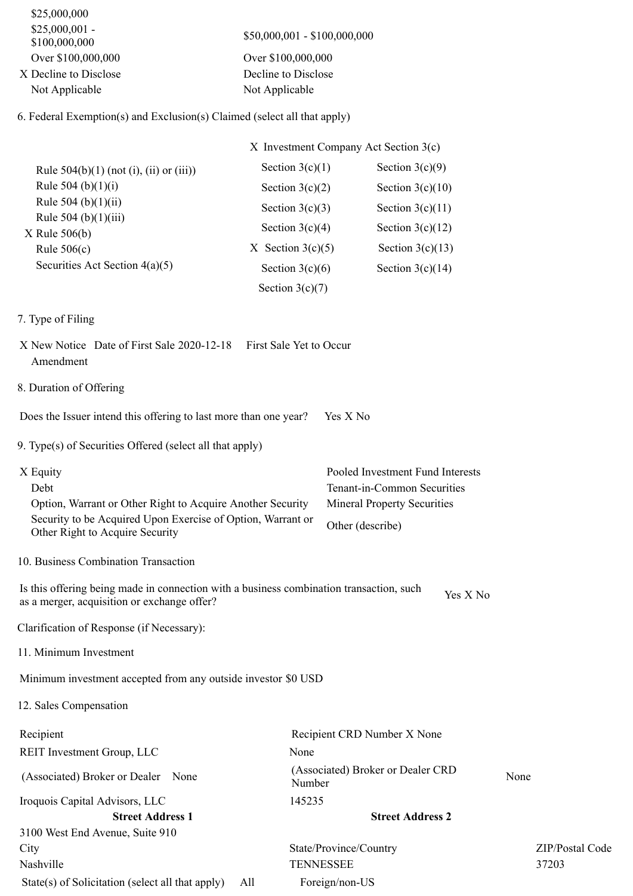| \$25,000,000                                                             |                                       |                    |
|--------------------------------------------------------------------------|---------------------------------------|--------------------|
| $$25,000,001$ -<br>\$100,000,000                                         | \$50,000,001 - \$100,000,000          |                    |
| Over \$100,000,000                                                       | Over \$100,000,000                    |                    |
| X Decline to Disclose                                                    | Decline to Disclose                   |                    |
| Not Applicable                                                           | Not Applicable                        |                    |
| 6. Federal Exemption(s) and Exclusion(s) Claimed (select all that apply) | X Investment Company Act Section 3(c) |                    |
| Rule $504(b)(1)$ (not (i), (ii) or (iii))                                | Section $3(c)(1)$                     | Section $3(c)(9)$  |
| Rule 504 (b) $(1)(i)$                                                    | Section $3(c)(2)$                     | Section $3(c)(10)$ |
| Rule 504 (b) $(1)(ii)$                                                   | Section $3(c)(3)$                     | Section $3(c)(11)$ |
| Rule $504$ (b) $(1)(iii)$                                                |                                       |                    |

 $(\nu)(1)(\mu)$ X Rule 506(b) Rule 506(c) Securities Act Section 4(a)(5) Section  $3(c)(4)$  Section  $3(c)(12)$ X Section  $3(c)(5)$  Section  $3(c)(13)$ Section  $3(c)(6)$  Section  $3(c)(14)$ Section  $3(c)(7)$ 

### 7. Type of Filing

- X New Notice Date of First Sale 2020-12-18 First Sale Yet to Occur Amendment
- 8. Duration of Offering

Does the Issuer intend this offering to last more than one year? Yes X No

- 9. Type(s) of Securities Offered (select all that apply)
- X Equity Pooled Investment Fund Interests Debt Tenant-in-Common Securities Option, Warrant or Other Right to Acquire Another Security Mineral Property Securities Security to be Acquired Upon Exercise of Option, Warrant or Other Right to Acquire Security<br>Other Right to Acquire Security
- 10. Business Combination Transaction

Is this offering being made in connection with a business combination transaction, such as a merger, acquisition or exchange offer?<br>as a merger, acquisition or exchange offer?

Clarification of Response (if Necessary):

11. Minimum Investment

Minimum investment accepted from any outside investor \$0 USD

12. Sales Compensation

| Recipient                                               | Recipient CRD Number X None                        |                 |
|---------------------------------------------------------|----------------------------------------------------|-----------------|
| REIT Investment Group, LLC                              | None                                               |                 |
| (Associated) Broker or Dealer None                      | (Associated) Broker or Dealer CRD<br><b>Number</b> | None            |
| Iroquois Capital Advisors, LLC                          | 145235                                             |                 |
| <b>Street Address 1</b>                                 | <b>Street Address 2</b>                            |                 |
| 3100 West End Avenue, Suite 910                         |                                                    |                 |
| City                                                    | State/Province/Country                             | ZIP/Postal Code |
| Nashville                                               | TENNESSEE                                          | 37203           |
| State(s) of Solicitation (select all that apply)<br>All | Foreign/non-US                                     |                 |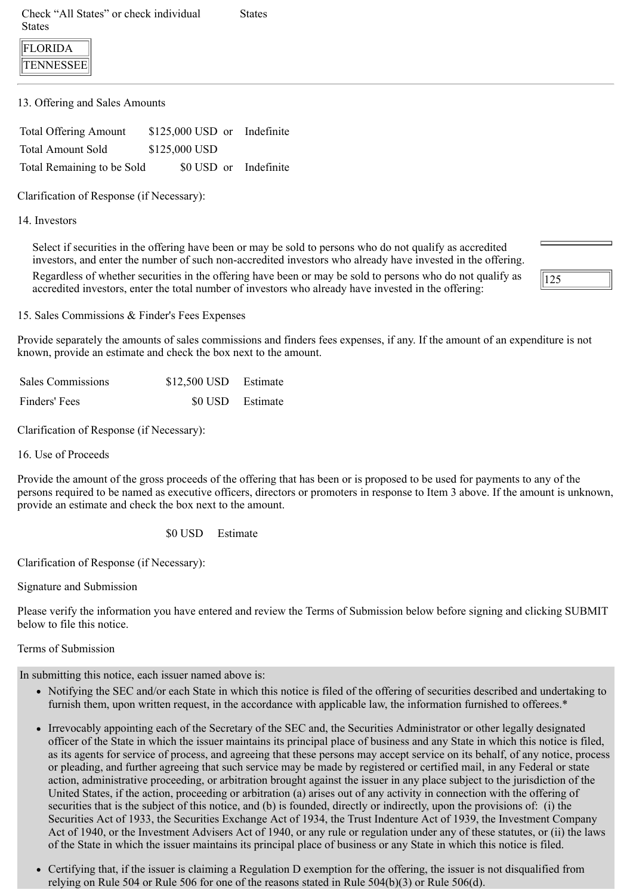Check "All States" or check individual **States** States

| IFLORIDA   |
|------------|
| ITENNESSEE |

13. Offering and Sales Amounts

| <b>Total Offering Amount</b> | \$125,000 USD or Indefinite |  |
|------------------------------|-----------------------------|--|
| <b>Total Amount Sold</b>     | \$125,000 USD               |  |
| Total Remaining to be Sold   | \$0 USD or Indefinite       |  |

Clarification of Response (if Necessary):

14. Investors

Select if securities in the offering have been or may be sold to persons who do not qualify as accredited investors, and enter the number of such non-accredited investors who already have invested in the offering. Regardless of whether securities in the offering have been or may be sold to persons who do not qualify as accredited investors, enter the total number of investors who already have invested in the offering:

 $\parallel$ 125

15. Sales Commissions & Finder's Fees Expenses

Provide separately the amounts of sales commissions and finders fees expenses, if any. If the amount of an expenditure is not known, provide an estimate and check the box next to the amount.

| <b>Sales Commissions</b> | \$12,500 USD Estimate |                  |
|--------------------------|-----------------------|------------------|
| Finders' Fees            |                       | \$0 USD Estimate |

Clarification of Response (if Necessary):

16. Use of Proceeds

Provide the amount of the gross proceeds of the offering that has been or is proposed to be used for payments to any of the persons required to be named as executive officers, directors or promoters in response to Item 3 above. If the amount is unknown, provide an estimate and check the box next to the amount.

\$0 USD Estimate

Clarification of Response (if Necessary):

Signature and Submission

Please verify the information you have entered and review the Terms of Submission below before signing and clicking SUBMIT below to file this notice.

Terms of Submission

In submitting this notice, each issuer named above is:

- Notifying the SEC and/or each State in which this notice is filed of the offering of securities described and undertaking to furnish them, upon written request, in the accordance with applicable law, the information furnished to offerees.\*
- Irrevocably appointing each of the Secretary of the SEC and, the Securities Administrator or other legally designated officer of the State in which the issuer maintains its principal place of business and any State in which this notice is filed, as its agents for service of process, and agreeing that these persons may accept service on its behalf, of any notice, process or pleading, and further agreeing that such service may be made by registered or certified mail, in any Federal or state action, administrative proceeding, or arbitration brought against the issuer in any place subject to the jurisdiction of the United States, if the action, proceeding or arbitration (a) arises out of any activity in connection with the offering of securities that is the subject of this notice, and (b) is founded, directly or indirectly, upon the provisions of: (i) the Securities Act of 1933, the Securities Exchange Act of 1934, the Trust Indenture Act of 1939, the Investment Company Act of 1940, or the Investment Advisers Act of 1940, or any rule or regulation under any of these statutes, or (ii) the laws of the State in which the issuer maintains its principal place of business or any State in which this notice is filed.
- Certifying that, if the issuer is claiming a Regulation D exemption for the offering, the issuer is not disqualified from relying on Rule 504 or Rule 506 for one of the reasons stated in Rule 504(b)(3) or Rule 506(d).